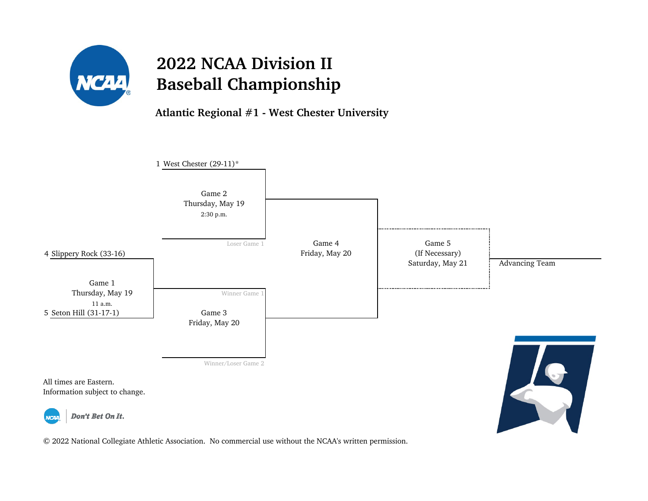

**Atlantic Regional #1 - West Chester University**

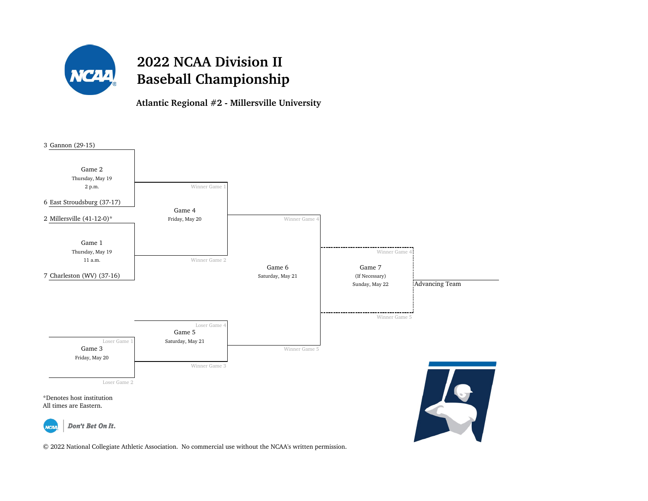

**Atlantic Regional #2 - Millersville University**

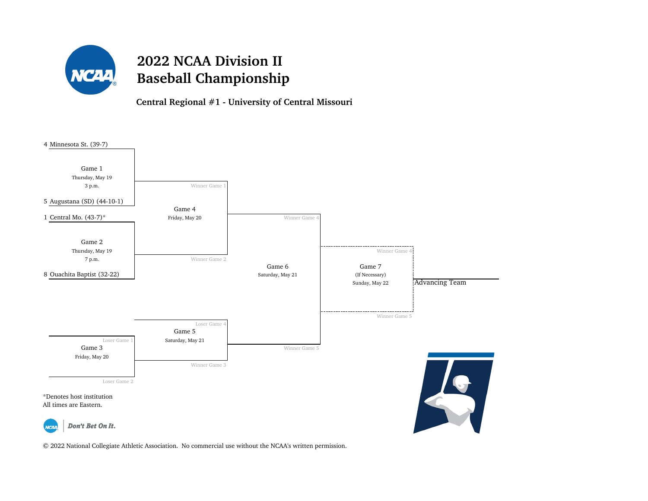

**Central Regional #1 - University of Central Missouri**

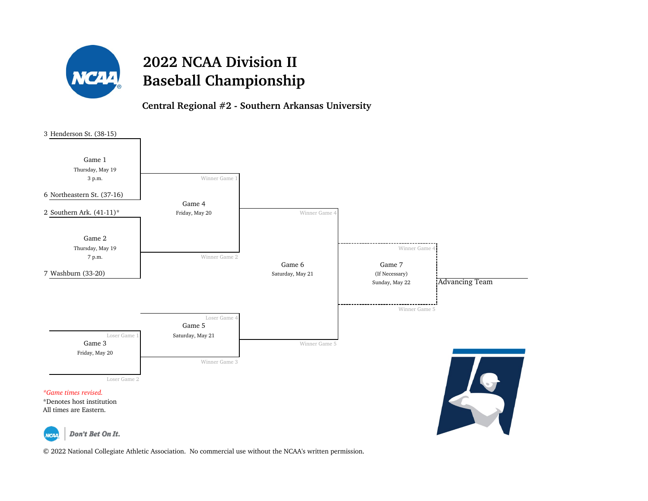

**Central Regional #2 - Southern Arkansas University**

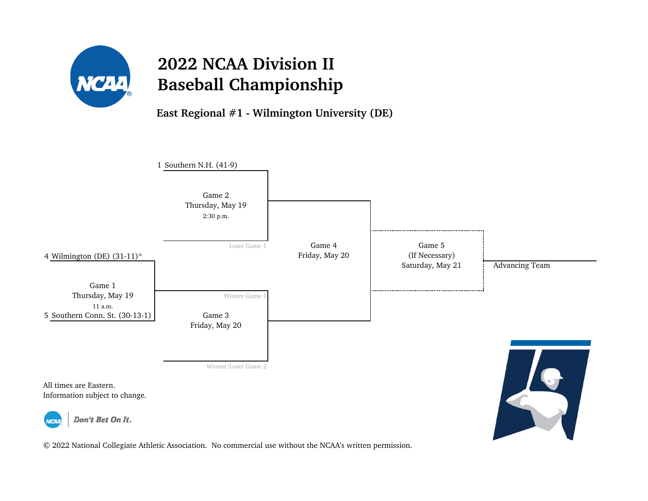

**East Regional #1 - Wilmington University (DE)**

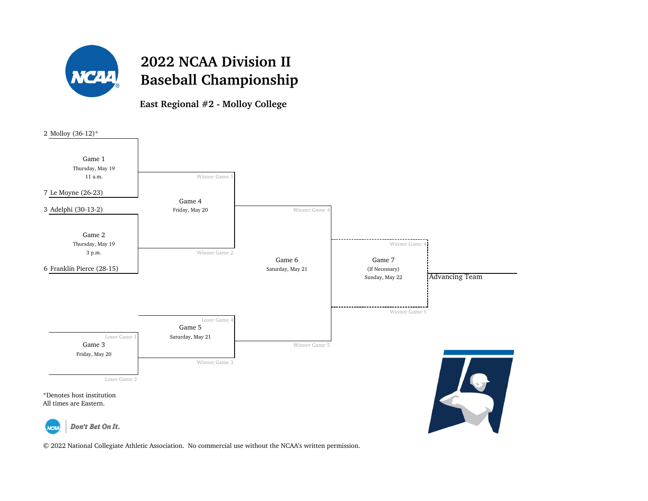

**East Regional #2 - Molloy College**

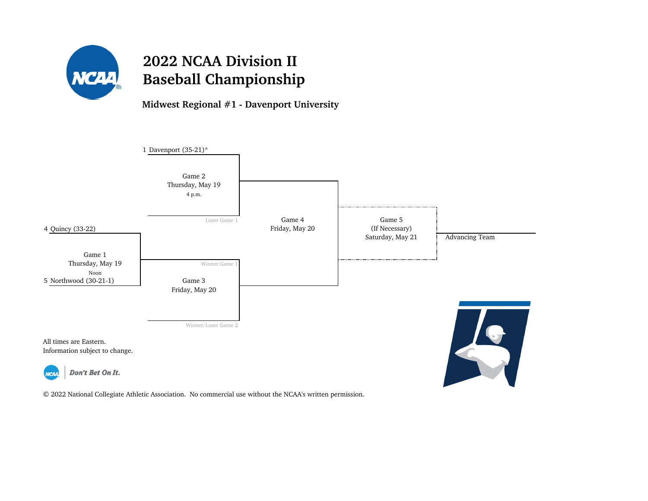

**Midwest Regional #1 - Davenport University**

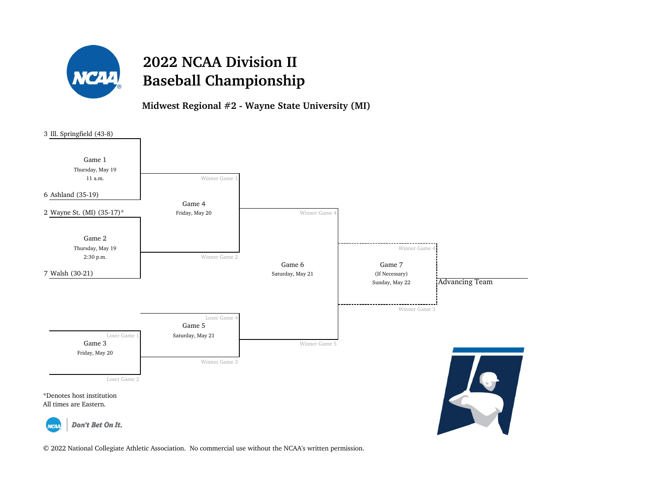

**Midwest Regional #2 - Wayne State University (MI)**

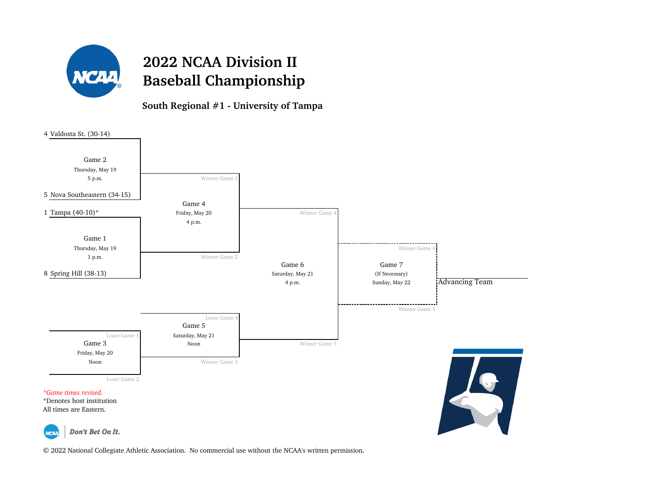

#### **South Regional #1 - University of Tampa**

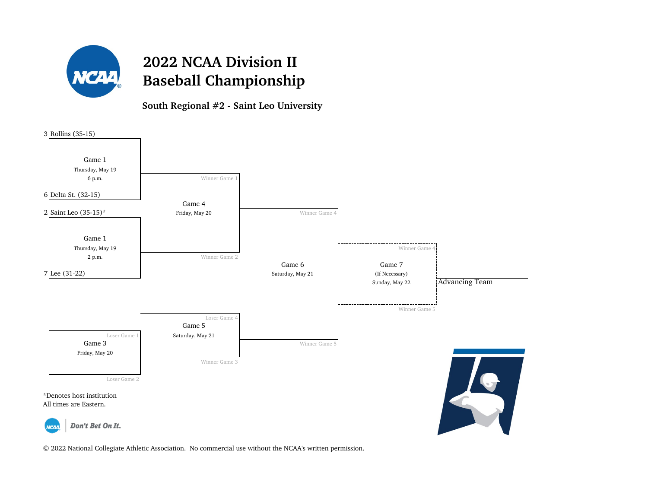

**South Regional #2 - Saint Leo University**

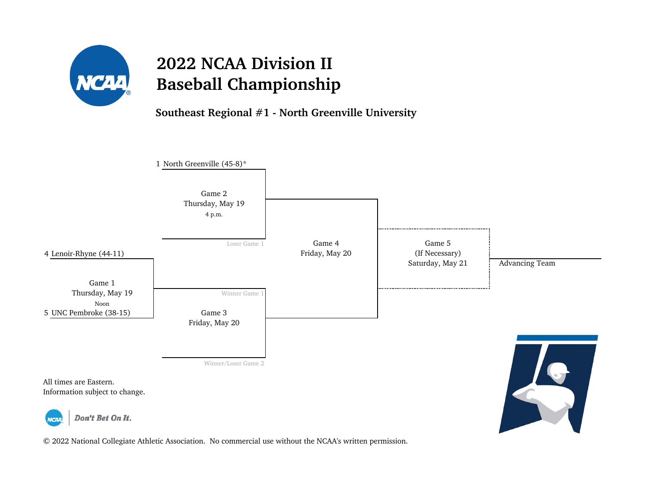

**Southeast Regional #1 - North Greenville University**

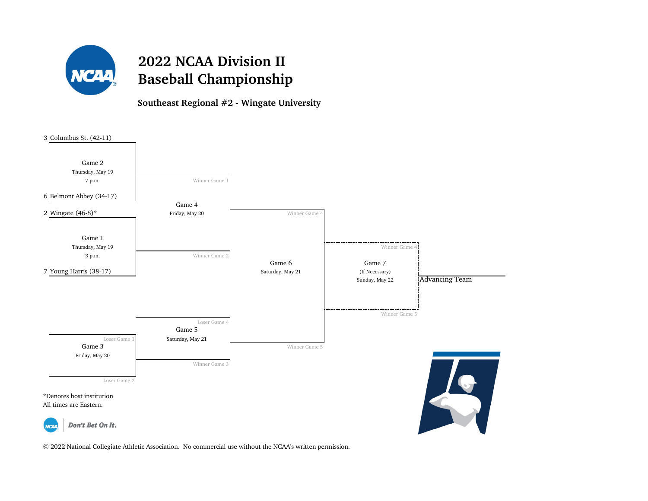

**Southeast Regional #2 - Wingate University**

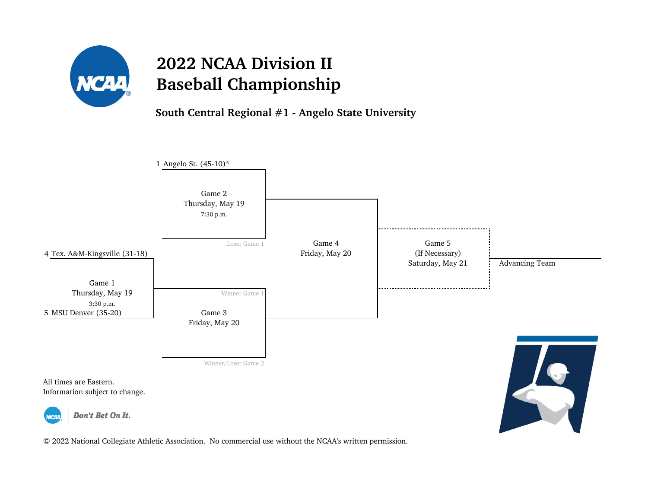

**South Central Regional #1 - Angelo State University**

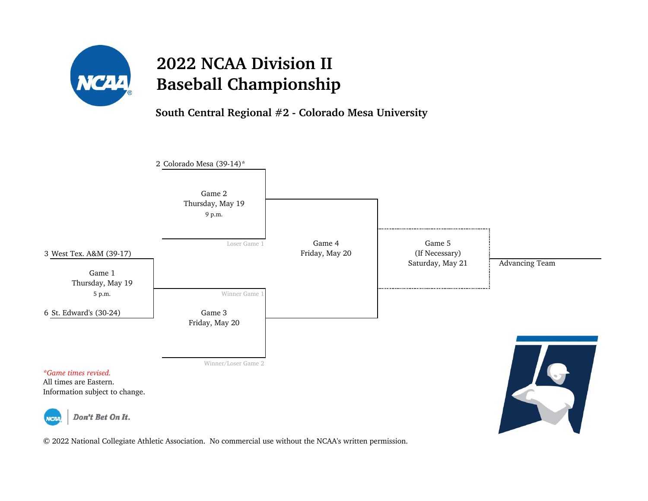

**South Central Regional #2 - Colorado Mesa University**

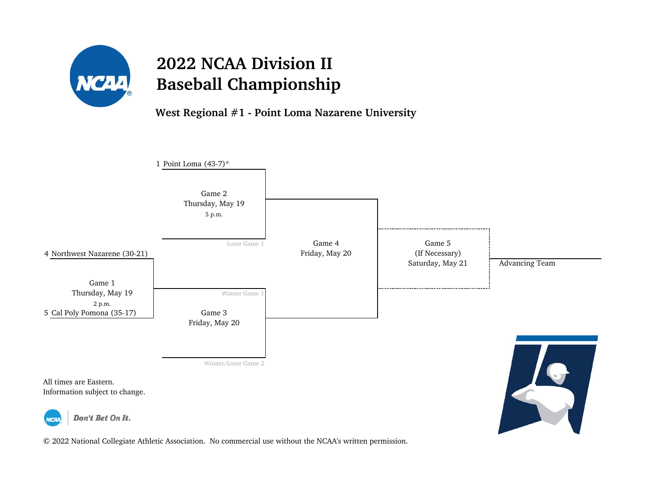

**West Regional #1 - Point Loma Nazarene University**